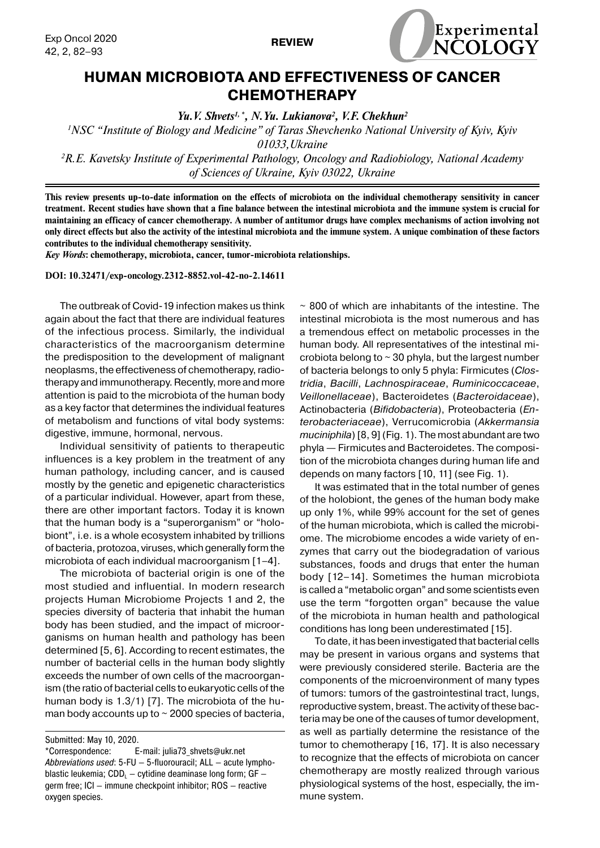

## **HUMAN MICROBIOTA AND EFFECTIVENESS OF CANCER CHEMOTHERAPY**

**REVIEW**

*Yu.V. Shvets<sup>1,\*</sup>, N.Yu. Lukianova<sup>2</sup>, V.F. Chekhun<sup>2</sup>* 

*1 NSC "Institute of Biology and Medicine" of Taras Shevchenko National University of Kyiv, Kyiv 01033,Ukraine*

*2 R.E. Kavetsky Institute of Experimental Pathology, Oncology and Radiobiology, National Academy of Sciences of Ukraine, Kyiv 03022, Ukraine*

**This review presents up-to-date information on the effects of microbiota on the individual chemotherapy sensitivity in cancer treatment. Recent studies have shown that a fine balance between the intestinal microbiota and the immune system is crucial for maintaining an efficacy of cancer chemotherapy. A number of antitumor drugs have complex mechanisms of action involving not only direct effects but also the activity of the intestinal microbiota and the immune system. A unique combination of these factors contributes to the individual chemotherapy sensitivity.**

*Key Words***: chemotherapy, microbiota, cancer, tumor-microbiota relationships.**

**DOI: 10.32471/exp-oncology.2312-8852.vol-42-no-2.14611**

The outbreak of Covid-19 infection makes us think again about the fact that there are individual features of the infectious process. Similarly, the individual characteristics of the macroorganism determine the predisposition to the development of malignant neoplasms, the effectiveness of chemotherapy, radiotherapy and immunotherapy. Recently, more and more attention is paid to the microbiota of the human body as a key factor that determines the individual features of metabolism and functions of vital body systems: digestive, immune, hormonal, nervous.

Individual sensitivity of patients to therapeutic influences is a key problem in the treatment of any human pathology, including cancer, and is caused mostly by the genetic and epigenetic characteristics of a particular individual. However, apart from these, there are other important factors. Today it is known that the human body is a "superorganism" or "holobiont", i.e. is a whole ecosystem inhabited by trillions of bacteria, protozoa, viruses, which generally form the microbiota of each individual macroorganism [1–4].

The microbiota of bacterial origin is one of the most studied and influential. In modern research projects Human Microbiome Projects 1 and 2, the species diversity of bacteria that inhabit the human body has been studied, and the impact of microorganisms on human health and pathology has been determined [5, 6]. According to recent estimates, the number of bacterial cells in the human body slightly exceeds the number of own cells of the macroorganism (the ratio of bacterial cells to eukaryotic cells of the human body is 1.3/1) [7]. The microbiota of the human body accounts up to  $\sim$  2000 species of bacteria,

 $\sim$  800 of which are inhabitants of the intestine. The intestinal microbiota is the most numerous and has a tremendous effect on metabolic processes in the human body. All representatives of the intestinal microbiota belong to  $\sim$  30 phyla, but the largest number of bacteria belongs to only 5 phyla: Firmicutes (*Clostridia*, *Bacilli*, *Lachnospiraceae*, *Ruminicoccaceae*, *Veillonellaceae*), Bacteroidetes (*Bacteroidaceae*), Actinobacteria (*Bifidobacteria*), Proteobacteria (*Enterobacteriaceae*), Verrucomicrobia (*Akkermansia muciniphila*)[8, 9] (Fig. 1). The most abundant are two phyla — Firmicutes and Bacteroidetes. The composition of the microbiota changes during human life and depends on many factors [10, 11] (see Fig. 1).

It was estimated that in the total number of genes of the holobiont, the genes of the human body make up only 1%, while 99% account for the set of genes of the human microbiota, which is called the microbiome. The microbiome encodes a wide variety of enzymes that carry out the biodegradation of various substances, foods and drugs that enter the human body [12–14]. Sometimes the human microbiota is called a "metabolic organ" and some scientists even use the term "forgotten organ" because the value of the microbiota in human health and pathological conditions has long been underestimated [15].

To date, it has been investigated that bacterial cells may be present in various organs and systems that were previously considered sterile. Bacteria are the components of the microenvironment of many types of tumors: tumors of the gastrointestinal tract, lungs, reproductive system, breast. The activity of these bacteria may be one of the causes of tumor development, as well as partially determine the resistance of the tumor to chemotherapy [16, 17]. It is also necessary to recognize that the effects of microbiota on cancer chemotherapy are mostly realized through various physiological systems of the host, especially, the immune system.

Submitted: May 10, 2020.

<sup>\*</sup>Correspondence: E-mail: julia73\_shvets@ukr.net *Abbreviations used*: 5-FU — 5-fluorouracil; ALL — acute lymphoblastic leukemia;  $CDD<sub>L</sub> - cytidine deaminase long form; GF –$ germ free; ICI — immune checkpoint inhibitor; ROS — reactive oxygen species.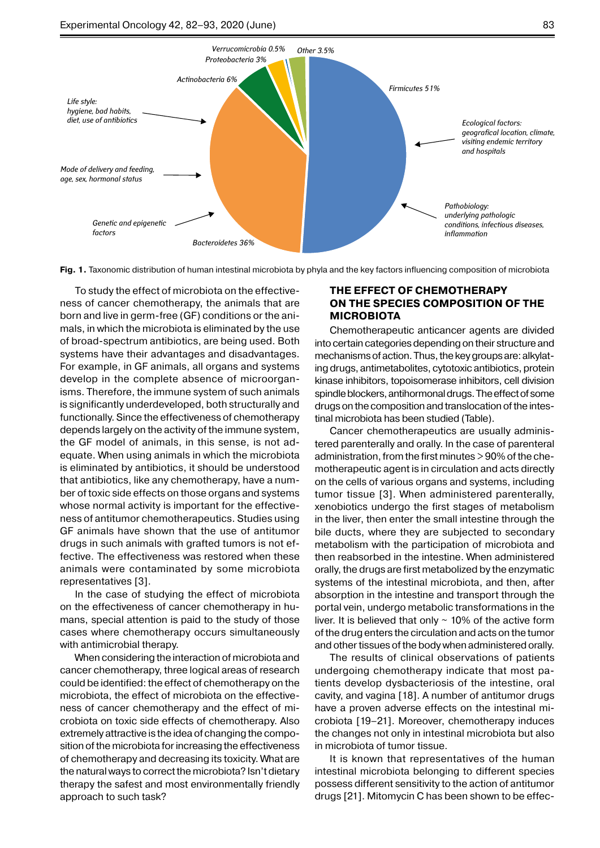

**Fig. 1.** Taxonomic distribution of human intestinal microbiota by phyla and the key factors influencing composition of microbiota

To study the effect of microbiota on the effectiveness of cancer chemotherapy, the animals that are born and live in germ-free (GF) conditions or the animals, in which the microbiota is eliminated by the use of broad-spectrum antibiotics, are being used. Both systems have their advantages and disadvantages. For example, in GF animals, all organs and systems develop in the complete absence of microorganisms. Therefore, the immune system of such animals is significantly underdeveloped, both structurally and functionally. Since the effectiveness of chemotherapy depends largely on the activity of the immune system, the GF model of animals, in this sense, is not adequate. When using animals in which the microbiota is eliminated by antibiotics, it should be understood that antibiotics, like any chemotherapy, have a number of toxic side effects on those organs and systems whose normal activity is important for the effectiveness of antitumor chemotherapeutics. Studies using GF animals have shown that the use of antitumor drugs in such animals with grafted tumors is not effective. The effectiveness was restored when these animals were contaminated by some microbiota representatives [3].

In the case of studying the effect of microbiota on the effectiveness of cancer chemotherapy in humans, special attention is paid to the study of those cases where chemotherapy occurs simultaneously with antimicrobial therapy.

When considering the interaction of microbiota and cancer chemotherapy, three logical areas of research could be identified: the effect of chemotherapy on the microbiota, the effect of microbiota on the effectiveness of cancer chemotherapy and the effect of microbiota on toxic side effects of chemotherapy. Also extremely attractive is the idea of changing the compo sition of the microbiota for increasing the effectiveness of chemotherapy and decreasing its toxicity. What are the natural ways to correct the microbiota? Isn't dietary therapy the safest and most environmentally friendly approach to such task?

## **The effect of chemotherapy on the species composition of the microbiota**

Chemotherapeutic anticancer agents are divided into certain categories depending on their structure and mechanisms of action. Thus, the key groups are: alkylat-*Fusobacteria 0,05% Tenericutes 0,1%* ing drugs, antimetabolites, cytotoxic antibiotics, protein kinase inhibitors, topoisomerase inhibitors, cell division spindle blockers, antihormonal drugs. The effect of some drugs on the composition and translocation of the intestinal microbiota has been studied (Table).

Cancer chemotherapeutics are usually administered parenterally and orally. In the case of parenteral administration, from the first minutes > 90% of the chemotherapeutic agent is in circulation and acts directly on the cells of various organs and systems, including tumor tissue [3]. When administered parenterally, xenobiotics undergo the first stages of metabolism in the liver, then enter the small intestine through the bile ducts, where they are subjected to secondary metabolism with the participation of microbiota and then reabsorbed in the intestine. When administered orally, the drugs are first metabolized by the enzymatic systems of the intestinal microbiota, and then, after absorption in the intestine and transport through the portal vein, undergo metabolic transformations in the liver. It is believed that only  $\sim$  10% of the active form of the drug enters the circulation and acts on the tumor and other tissues of the body when administered orally.

The results of clinical observations of patients undergoing chemotherapy indicate that most patients develop dysbacteriosis of the intestine, oral cavity, and vagina [18]. A number of antitumor drugs have a proven adverse effects on the intestinal microbiota [19–21]. Moreover, chemotherapy induces the changes not only in intestinal microbiota but also in microbiota of tumor tissue.

It is known that representatives of the human intestinal microbiota belonging to different species possess different sensitivity to the action of antitumor drugs [21]. Mitomycin C has been shown to be effec-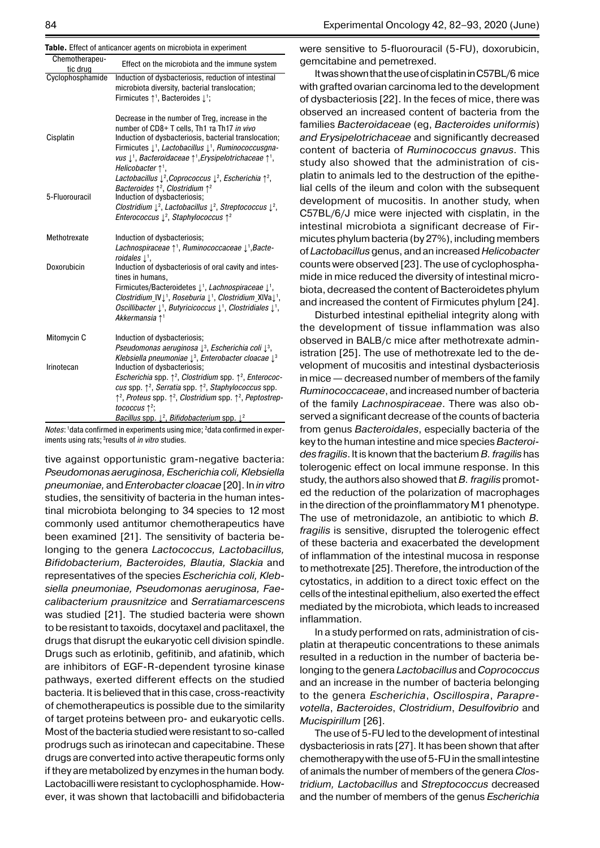|  |  | Table. Effect of anticancer agents on microbiota in experiment |
|--|--|----------------------------------------------------------------|

|                            | <b>Not Enoot of antioanoor agonto on mioropiota in oxpormion</b>                                                                                                                                                                                                                                                                                                                                                                                                                            |
|----------------------------|---------------------------------------------------------------------------------------------------------------------------------------------------------------------------------------------------------------------------------------------------------------------------------------------------------------------------------------------------------------------------------------------------------------------------------------------------------------------------------------------|
| Chemotherapeu-<br>tic drug | Effect on the microbiota and the immune system                                                                                                                                                                                                                                                                                                                                                                                                                                              |
| Cyclophosphamide           | Induction of dysbacteriosis, reduction of intestinal<br>microbiota diversity, bacterial translocation;<br>Firmicutes 1 <sup>1</sup> , Bacteroides 1 <sup>1</sup> ;                                                                                                                                                                                                                                                                                                                          |
| Cisplatin                  | Decrease in the number of Treg, increase in the<br>number of CD8+ T cells, Th1 Ta Th17 in vivo<br>Induction of dysbacteriosis, bacterial translocation;<br>Firmicutes $\downarrow$ <sup>1</sup> , Lactobacillus $\downarrow$ <sup>1</sup> , Ruminococcusqna-<br>vus $\downarrow$ <sup>1</sup> , Bacteroidaceae $\uparrow$ <sup>1</sup> , Erysipelotrichaceae $\uparrow$ <sup>1</sup> ,<br>Helicobacter $\uparrow$ <sup>1</sup> ,                                                            |
| 5-Fluorouracil             | Lactobacillus $\downarrow^2$ , Coprococcus $\downarrow^2$ , Escherichia $\uparrow^2$ ,<br>Bacteroides $\uparrow^2$ , Clostridium $\uparrow^2$<br>Induction of dysbacteriosis;                                                                                                                                                                                                                                                                                                               |
|                            | Clostridium $\downarrow^2$ , Lactobacillus $\downarrow^2$ , Streptococcus $\downarrow^2$ ,<br>Enterococcus $\downarrow^2$ , Staphylococcus $\uparrow^2$                                                                                                                                                                                                                                                                                                                                     |
| Methotrexate               | Induction of dysbacteriosis;<br>Lachnospiraceae 11, Ruminococcaceae $\downarrow$ <sup>1</sup> , Bacte-                                                                                                                                                                                                                                                                                                                                                                                      |
| Doxorubicin                | roidales $\mathbb{L}^1$ .<br>Induction of dysbacteriosis of oral cavity and intes-<br>tines in humans.<br>Firmicutes/Bacteroidetes $\downarrow$ <sup>1</sup> , Lachnospiraceae $\downarrow$ <sup>1</sup> ,<br>Clostridium IV <sup>1</sup> , Roseburia <sup>1</sup> , Clostridium XIVa <sup>1</sup> ,<br>Oscillibacter $\downarrow$ <sup>1</sup> , Butyricicoccus $\downarrow$ <sup>1</sup> , Clostridiales $\downarrow$ <sup>1</sup> ,<br>Akkermansia 1 <sup>1</sup>                        |
| Mitomycin C                | Induction of dysbacteriosis;<br>Pseudomonas aeruginosa $\downarrow$ <sup>3</sup> , Escherichia coli $\downarrow$ <sup>3</sup> ,                                                                                                                                                                                                                                                                                                                                                             |
| Irinotecan                 | Klebsiella pneumoniae $\downarrow$ <sup>3</sup> , Enterobacter cloacae $\downarrow$ <sup>3</sup><br>Induction of dysbacteriosis;<br>Escherichia spp. $\uparrow^2$ , Clostridium spp. $\uparrow^2$ , Enterococ-<br>cus spp. $\uparrow^2$ , Serratia spp. $\uparrow^2$ , Staphylococcus spp.<br>↑ <sup>2</sup> , Proteus spp. ↑ <sup>2</sup> , Clostridium spp. ↑ <sup>2</sup> , Peptostrep-<br>tococcus $\uparrow^2$ ;<br>Bacillus spp. $\downarrow^2$ , Bifidobacterium spp. $\downarrow^2$ |

*Notes*: <sup>1</sup>data confirmed in experiments using mice; <sup>2</sup>data confirmed in experiments using rats; 3results of *in vitro* studies.

tive against opportunistic gram-negative bacteria: *Pseudomonas aeruginosa, Escherichia coli, Klebsiella pneumoniae,* and *Enterobacter cloacae* [20]. In *in vitro* studies, the sensitivity of bacteria in the human intestinal microbiota belonging to 34 species to 12 most commonly used antitumor chemotherapeutics have been examined [21]. The sensitivity of bacteria belonging to the genera *Lactococcus, Lactobacillus, Bifidobacterium, Bacteroides, Blautia, Slackia* and representatives of the species *Escherichia coli, Klebsiella pneumoniae, Pseudomonas aeruginosa, Faecalibacterium prausnitzice* and *Serratiamarcescens*  was studied [21]. The studied bacteria were shown to be resistant to taxoids, docytaxel and paclitaxel, the drugs that disrupt the eukaryotic cell division spindle. Drugs such as erlotinib, gefitinib, and afatinib, which are inhibitors of EGF-R-dependent tyrosine kinase pathways, exerted different effects on the studied bacteria. It is believed that in this case, cross-reactivity of chemotherapeutics is possible due to the similarity of target proteins between pro- and eukaryotic cells. Most of the bacteria studied were resistant to so-called prodrugs such as irinotecan and capecitabine. These drugs are converted into active therapeutic forms only if they are metabolized by enzymes in the human body. Lactobacilli were resistant to cyclophosphamide. However, it was shown that lactobacilli and bifidobacteria were sensitive to 5-fluorouracil (5-FU), doxorubicin, gemcitabine and pemetrexed.

It was shown that the use of cisplatin in C57BL/6 mice with grafted ovarian carcinoma led to the development of dysbacteriosis [22]. In the feces of mice, there was observed an increased content of bacteria from the families *Bacteroidaceae* (eg, *Bacteroides uniformis*) *and Erysipelotrichaceae* and significantly decreased content of bacteria of *Ruminococcus gnavus*. This study also showed that the administration of cisplatin to animals led to the destruction of the epithelial cells of the ileum and colon with the subsequent development of mucositis. In another study, when C57BL/6/J mice were injected with cisplatin, in the intestinal microbiota a significant decrease of Firmicutes phylum bacteria (by 27%), including members of *Lactobacillus* genus, and an increased *Helicobacter* counts were observed [23]. The use of cyclophosphamide in mice reduced the diversity of intestinal microbiota, decreased the content of Bacteroidetes phylum and increased the content of Firmicutes phylum [24].

Disturbed intestinal epithelial integrity along with the development of tissue inflammation was also observed in BALB/c mice after methotrexate administration [25]. The use of methotrexate led to the development of mucositis and intestinal dysbacteriosis in mice— decreased number of members of the family *Ruminococcaceae*, and increased number of bacteria of the family *Lachnospiraceae*. There was also observed a significant decrease of the counts of bacteria from genus *Bacteroidales*, especially bacteria of the key to the human intestine and mice species *Bacteroides fragilis*. It is known that the bacterium *B. fragilis* has tolerogenic effect on local immune response. In this study, the authors also showed that *B. fragilis* promoted the reduction of the polarization of macrophages in the direction of the proinflammatory M1 phenotype. The use of metronidazole, an antibiotic to which *B. fragilis* is sensitive, disrupted the tolerogenic effect of these bacteria and exacerbated the development of inflammation of the intestinal mucosa in response to methotrexate [25]. Therefore, the introduction of the cytostatics, in addition to a direct toxic effect on the cells of the intestinal epithelium, also exerted the effect mediated by the microbiota, which leads to increased inflammation.

In a study performed on rats, administration of cisplatin at therapeutic concentrations to these animals resulted in a reduction in the number of bacteria belonging to the genera *Lactobacillus* and *Coprococcus* and an increase in the number of bacteria belonging to the genera *Escherichia*, *Oscillospira*, *Paraprevotella*, *Bacteroides*, *Clostridium*, *Desulfovibrio* and *Mucispirillum* [26].

The use of 5-FU led to the development of intestinal dysbacteriosis in rats [27]. It has been shown that after chemotherapy with the use of 5-FUin the small intestine of animals the number of members of the genera *Clostridium, Lactobacillus* and *Streptococcus* decreased and the number of members of the genus *Escherichia*